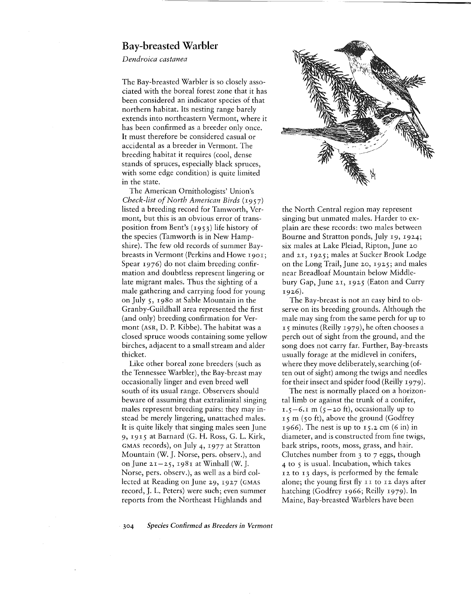## Bay-breasted **Warbler**

*Dendroica castanea*

The Bay-breasted Warbler is so closely associated with the boreal forest zone that it has been considered an indicator species of that northern habitat. Its nesting range barely extends into northeastern Vermont, where it has been confirmed as a breeder only once. It must therefore be considered casual or accidental as a breeder in Vermont. The breeding habitat it requires (cool, dense stands of spruces, especially black spruces, with some edge condition) is quite limited in the state.

The American Ornithologists' Union's *Check-list of North American Birds* (1957) listed a breeding record for Tamworth, Vermont, but this is an obvious error of transposition from Bent's (1953) life history of the species (Tamworth is in New Hampshire). The few old records of summer Baybreasts in Vermont (Perkins and Howe 1901; Spear 1976) do not claim breeding confirmation and doubtless represent lingering or late migrant males. Thus the sighting of a male gathering and carrying food for young on July 5, 1980 at Sable Mountain in the Granby-Guildhall area represented the first (and only) breeding confirmation for Vermont (ASR, D. P. Kibbe). The habitat was a closed spruce woods containing some yellow birches, adjacent to a small stream and alder thicket.

Like other boreal zone breeders (such as the Tennessee Warbler), the Bay-breast may occasionally linger and even breed well south of its usual range. Observers should beware of assuming that extralimital singing males represent breeding pairs: they may instead be merely lingering, unattached males. It is quite likely that singing males seen June 9, 19 15 at Barnard (G. H. Ross, G. L. Kirk, GMAS records), on July 4, 1977 at Stratton Mountain (W. J. Norse, pers. observ.), and on June  $2I - 25$ , 1981 at Winhall (W. J. Norse, pers. observ.), as well as a bird collected at Reading on June 29, 1927 (GMAS record, J. L. Peters) were such; even summer reports from the Northeast Highlands and



the North Central region may represent singing but unmated males. Harder to explain are these records: two males between Bourne and Stratton ponds, July 19, 1924; six males at Lake Pleiad, Ripton, June 20 and 2I, 1925; males at Sucker Brook Lodge on the Long Trail, June 20, 1925; and males near Breadloaf Mountain below Middlebury Gap, June 21, 1925 (Eaton and Curry 19 26).

The Bay-breast is not an easy bird to observe on its breeding grounds. Although the male may sing from the same perch for up to 15 minutes (Reilly 1979), he often chooses a perch out of sight from the ground, and the song does not carry far. Further, Bay-breasts usually forage at the midlevel in conifers, where they move deliberately, searching (often out of sight) among the twigs and needles for their insect and spider food (Reilly 1979).

The nest is normally placed on a horizontal limb or against the trunk of a conifer,  $I.5-6.1$  m ( $\zeta$  -20 ft), occasionally up to 15 m (50 ft), above the ground (Godfrey 1966). The nest is up to 15.2 cm  $(6 \text{ in})$  in diameter, and is constructed from fine twigs, bark strips, roots, moss, grass, and hair. Clutches number from 3 to 7 eggs, though 4 to 5 is usual. Incubation, which takes 12 to 13 days, is performed by the female alone; the young first fly II to <sup>12</sup> days after hatching (Godfrey 1966; Reilly 1979). In Maine, Bay-breasted Warblers have been

*304 Species Confirmed* as *Breeders in Vermont*